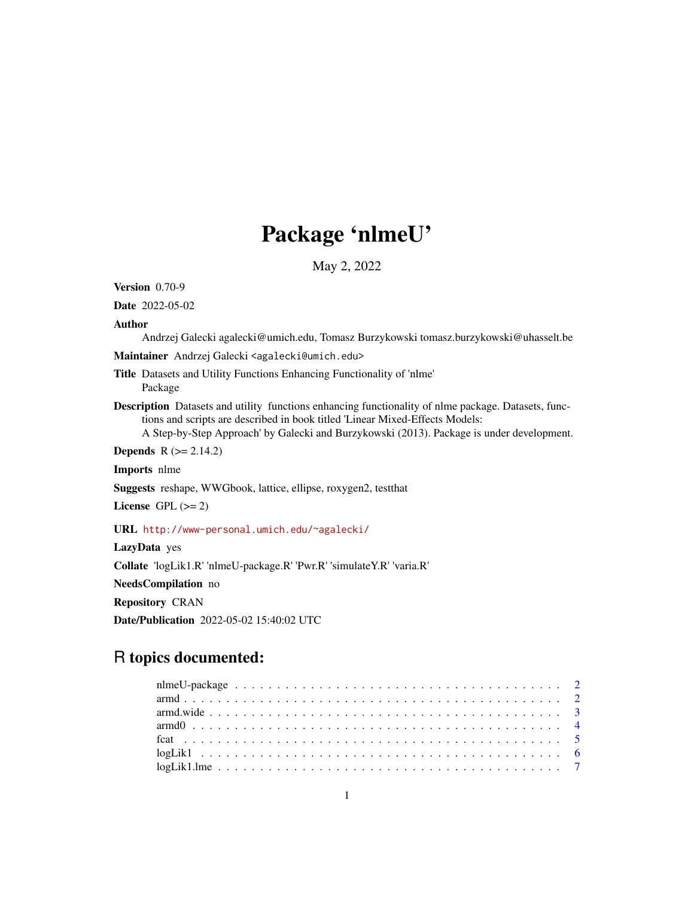# Package 'nlmeU'

May 2, 2022

<span id="page-0-0"></span>Version 0.70-9

Date 2022-05-02

#### Author

Andrzej Galecki agalecki@umich.edu, Tomasz Burzykowski tomasz.burzykowski@uhasselt.be

Maintainer Andrzej Galecki <agalecki@umich.edu>

Title Datasets and Utility Functions Enhancing Functionality of 'nlme' Package

Description Datasets and utility functions enhancing functionality of nlme package. Datasets, functions and scripts are described in book titled 'Linear Mixed-Effects Models: A Step-by-Step Approach' by Galecki and Burzykowski (2013). Package is under development.

**Depends**  $R$  ( $>= 2.14.2$ )

Imports nlme

Suggests reshape, WWGbook, lattice, ellipse, roxygen2, testthat

License GPL  $(>= 2)$ 

URL <http://www-personal.umich.edu/~agalecki/>

LazyData yes

Collate 'logLik1.R' 'nlmeU-package.R' 'Pwr.R' 'simulateY.R' 'varia.R'

NeedsCompilation no

Repository CRAN

Date/Publication 2022-05-02 15:40:02 UTC

# R topics documented: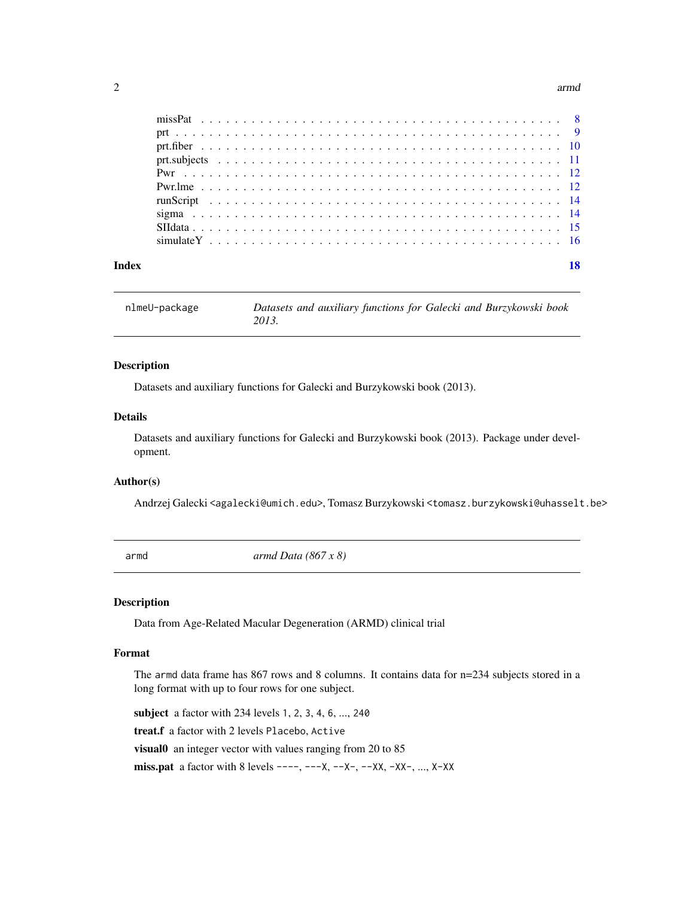#### <span id="page-1-0"></span>2 arm  $\alpha$  arm  $\alpha$  arm  $\alpha$  arm  $\alpha$  arm  $\alpha$  arm  $\alpha$  arm  $\alpha$  arm  $\alpha$  arm  $\alpha$  arm  $\alpha$  arm  $\alpha$  arm  $\alpha$  arm  $\alpha$  arm  $\alpha$  arm  $\alpha$  arm  $\alpha$  arm  $\alpha$  arm  $\alpha$  arm  $\alpha$  arm  $\alpha$  arm  $\alpha$  arm  $\alpha$  arm  $\alpha$  arm  $\alpha$  arm

| Index |  |  |  |  |  |  |  |  |  |  |  |  |  |  |  |  |  |  |  |  |  |  |
|-------|--|--|--|--|--|--|--|--|--|--|--|--|--|--|--|--|--|--|--|--|--|--|
|       |  |  |  |  |  |  |  |  |  |  |  |  |  |  |  |  |  |  |  |  |  |  |
|       |  |  |  |  |  |  |  |  |  |  |  |  |  |  |  |  |  |  |  |  |  |  |
|       |  |  |  |  |  |  |  |  |  |  |  |  |  |  |  |  |  |  |  |  |  |  |
|       |  |  |  |  |  |  |  |  |  |  |  |  |  |  |  |  |  |  |  |  |  |  |
|       |  |  |  |  |  |  |  |  |  |  |  |  |  |  |  |  |  |  |  |  |  |  |
|       |  |  |  |  |  |  |  |  |  |  |  |  |  |  |  |  |  |  |  |  |  |  |
|       |  |  |  |  |  |  |  |  |  |  |  |  |  |  |  |  |  |  |  |  |  |  |
|       |  |  |  |  |  |  |  |  |  |  |  |  |  |  |  |  |  |  |  |  |  |  |
|       |  |  |  |  |  |  |  |  |  |  |  |  |  |  |  |  |  |  |  |  |  |  |
|       |  |  |  |  |  |  |  |  |  |  |  |  |  |  |  |  |  |  |  |  |  |  |

nlmeU-package *Datasets and auxiliary functions for Galecki and Burzykowski book 2013.*

#### Description

Datasets and auxiliary functions for Galecki and Burzykowski book (2013).

#### Details

Datasets and auxiliary functions for Galecki and Burzykowski book (2013). Package under development.

#### Author(s)

Andrzej Galecki <agalecki@umich.edu>, Tomasz Burzykowski <tomasz.burzykowski@uhasselt.be>

<span id="page-1-1"></span>armd *armd Data (867 x 8)*

#### Description

Data from Age-Related Macular Degeneration (ARMD) clinical trial

# Format

The armd data frame has 867 rows and 8 columns. It contains data for n=234 subjects stored in a long format with up to four rows for one subject.

subject a factor with 234 levels 1, 2, 3, 4, 6, ..., 240

treat.f a factor with 2 levels Placebo, Active

visual0 an integer vector with values ranging from 20 to 85

**miss.pat** a factor with 8 levels ----, ---X, --X-, --XX, -XX-, ..., X-XX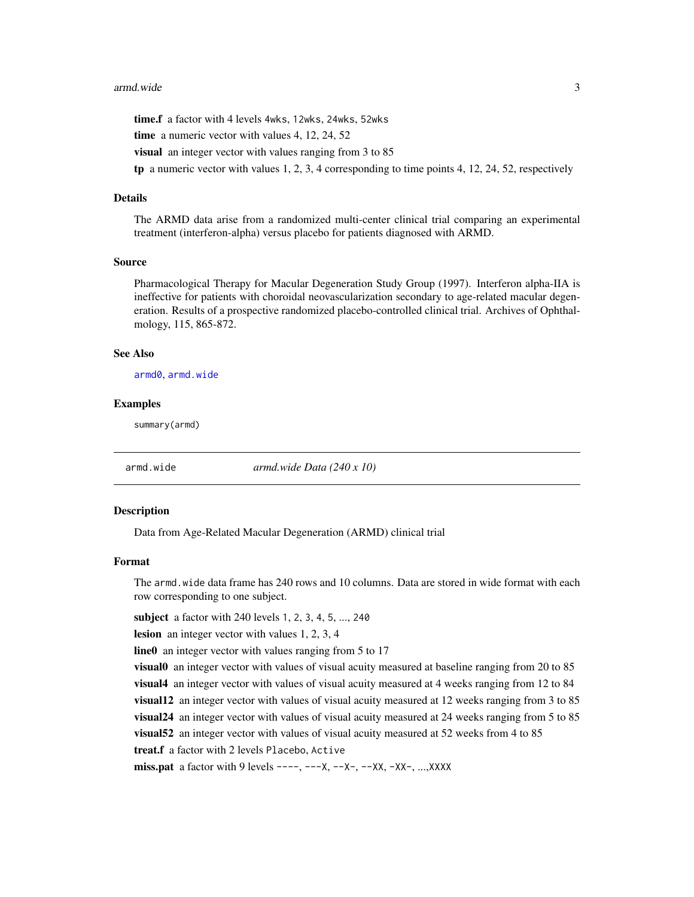#### <span id="page-2-0"></span>armd.wide 3

time.f a factor with 4 levels 4wks, 12wks, 24wks, 52wks

time a numeric vector with values 4, 12, 24, 52

visual an integer vector with values ranging from 3 to 85

tp a numeric vector with values  $1, 2, 3, 4$  corresponding to time points  $4, 12, 24, 52$ , respectively

#### Details

The ARMD data arise from a randomized multi-center clinical trial comparing an experimental treatment (interferon-alpha) versus placebo for patients diagnosed with ARMD.

#### Source

Pharmacological Therapy for Macular Degeneration Study Group (1997). Interferon alpha-IIA is ineffective for patients with choroidal neovascularization secondary to age-related macular degeneration. Results of a prospective randomized placebo-controlled clinical trial. Archives of Ophthalmology, 115, 865-872.

#### See Also

[armd0](#page-3-1), [armd.wide](#page-2-1)

#### Examples

summary(armd)

<span id="page-2-1"></span>armd.wide *armd.wide Data (240 x 10)*

#### Description

Data from Age-Related Macular Degeneration (ARMD) clinical trial

#### Format

The armd.wide data frame has 240 rows and 10 columns. Data are stored in wide format with each row corresponding to one subject.

subject a factor with 240 levels 1, 2, 3, 4, 5, ..., 240

lesion an integer vector with values 1, 2, 3, 4

line0 an integer vector with values ranging from 5 to 17

visual0 an integer vector with values of visual acuity measured at baseline ranging from 20 to 85 visual4 an integer vector with values of visual acuity measured at 4 weeks ranging from 12 to 84 visual12 an integer vector with values of visual acuity measured at 12 weeks ranging from 3 to 85 visual24 an integer vector with values of visual acuity measured at 24 weeks ranging from 5 to 85 visual52 an integer vector with values of visual acuity measured at 52 weeks from 4 to 85 treat.f a factor with 2 levels Placebo, Active

miss.pat a factor with 9 levels  $---, ---X, ---X-$ ,  $-X-$ ,  $-XX, -XX-$ , ..., $XXXX$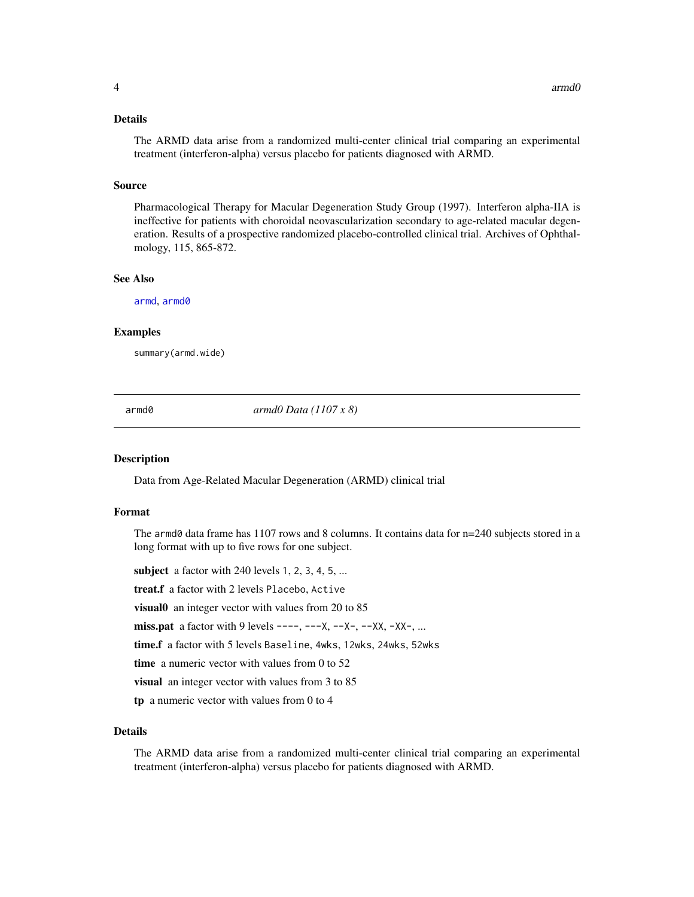#### <span id="page-3-0"></span>Details

The ARMD data arise from a randomized multi-center clinical trial comparing an experimental treatment (interferon-alpha) versus placebo for patients diagnosed with ARMD.

#### Source

Pharmacological Therapy for Macular Degeneration Study Group (1997). Interferon alpha-IIA is ineffective for patients with choroidal neovascularization secondary to age-related macular degeneration. Results of a prospective randomized placebo-controlled clinical trial. Archives of Ophthalmology, 115, 865-872.

#### See Also

[armd](#page-1-1), [armd0](#page-3-1)

#### Examples

summary(armd.wide)

<span id="page-3-1"></span>armd0 *armd0 Data (1107 x 8)*

#### Description

Data from Age-Related Macular Degeneration (ARMD) clinical trial

#### Format

The armd0 data frame has 1107 rows and 8 columns. It contains data for n=240 subjects stored in a long format with up to five rows for one subject.

subject a factor with  $240$  levels 1, 2, 3, 4, 5, ...

treat.f a factor with 2 levels Placebo, Active

visual0 an integer vector with values from 20 to 85

miss.pat a factor with 9 levels  $---, ---X, ---X-$ ,  $-X-$ ,  $-XX, -XX-$ , ...

time.f a factor with 5 levels Baseline, 4wks, 12wks, 24wks, 52wks

time a numeric vector with values from 0 to 52

visual an integer vector with values from 3 to 85

tp a numeric vector with values from 0 to 4

#### Details

The ARMD data arise from a randomized multi-center clinical trial comparing an experimental treatment (interferon-alpha) versus placebo for patients diagnosed with ARMD.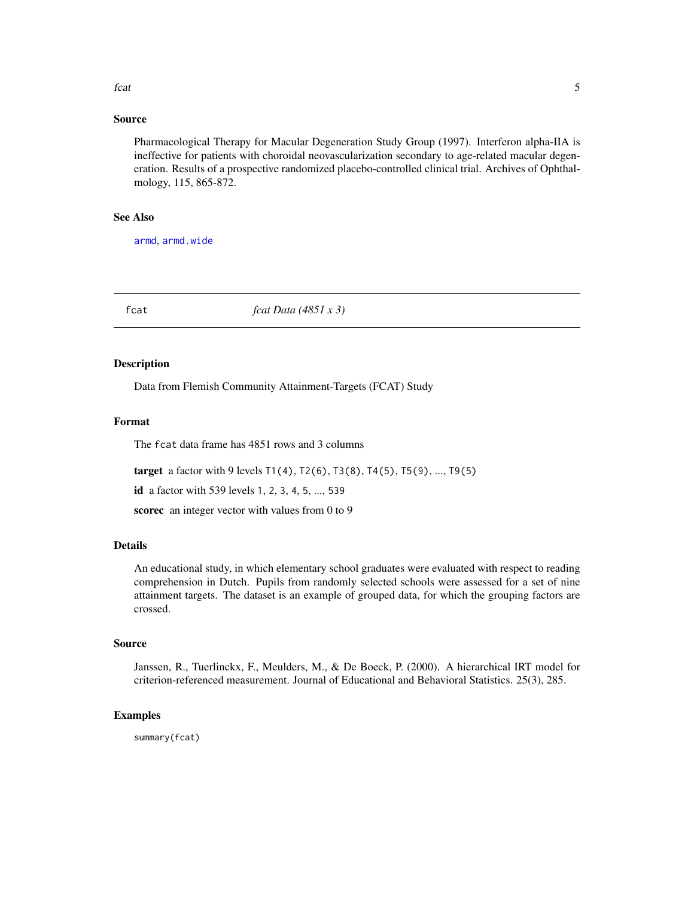#### <span id="page-4-0"></span>fcat 5

#### Source

Pharmacological Therapy for Macular Degeneration Study Group (1997). Interferon alpha-IIA is ineffective for patients with choroidal neovascularization secondary to age-related macular degeneration. Results of a prospective randomized placebo-controlled clinical trial. Archives of Ophthalmology, 115, 865-872.

#### See Also

[armd](#page-1-1), [armd.wide](#page-2-1)

fcat *fcat Data (4851 x 3)*

#### Description

Data from Flemish Community Attainment-Targets (FCAT) Study

#### Format

The fcat data frame has 4851 rows and 3 columns

target a factor with 9 levels T1(4), T2(6), T3(8), T4(5), T5(9), ..., T9(5)

id a factor with 539 levels 1, 2, 3, 4, 5, ..., 539

scorec an integer vector with values from 0 to 9

#### Details

An educational study, in which elementary school graduates were evaluated with respect to reading comprehension in Dutch. Pupils from randomly selected schools were assessed for a set of nine attainment targets. The dataset is an example of grouped data, for which the grouping factors are crossed.

#### Source

Janssen, R., Tuerlinckx, F., Meulders, M., & De Boeck, P. (2000). A hierarchical IRT model for criterion-referenced measurement. Journal of Educational and Behavioral Statistics. 25(3), 285.

#### Examples

summary(fcat)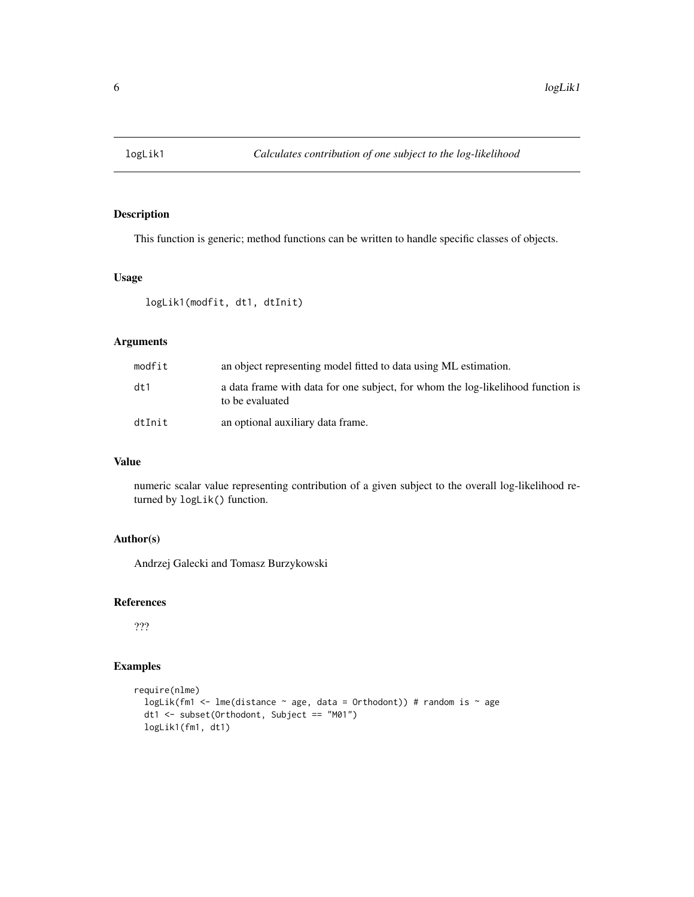<span id="page-5-0"></span>

This function is generic; method functions can be written to handle specific classes of objects.

#### Usage

logLik1(modfit, dt1, dtInit)

#### Arguments

| modfit | an object representing model fitted to data using ML estimation.                                   |
|--------|----------------------------------------------------------------------------------------------------|
| dt1    | a data frame with data for one subject, for whom the log-likelihood function is<br>to be evaluated |
| dtInit | an optional auxiliary data frame.                                                                  |

# Value

numeric scalar value representing contribution of a given subject to the overall log-likelihood returned by logLik() function.

# Author(s)

Andrzej Galecki and Tomasz Burzykowski

### References

???

# Examples

```
require(nlme)
 logLik(fm1 <- lme(distance \sim age, data = Orthodont)) # random is \sim age
 dt1 <- subset(Orthodont, Subject == "M01")
 logLik1(fm1, dt1)
```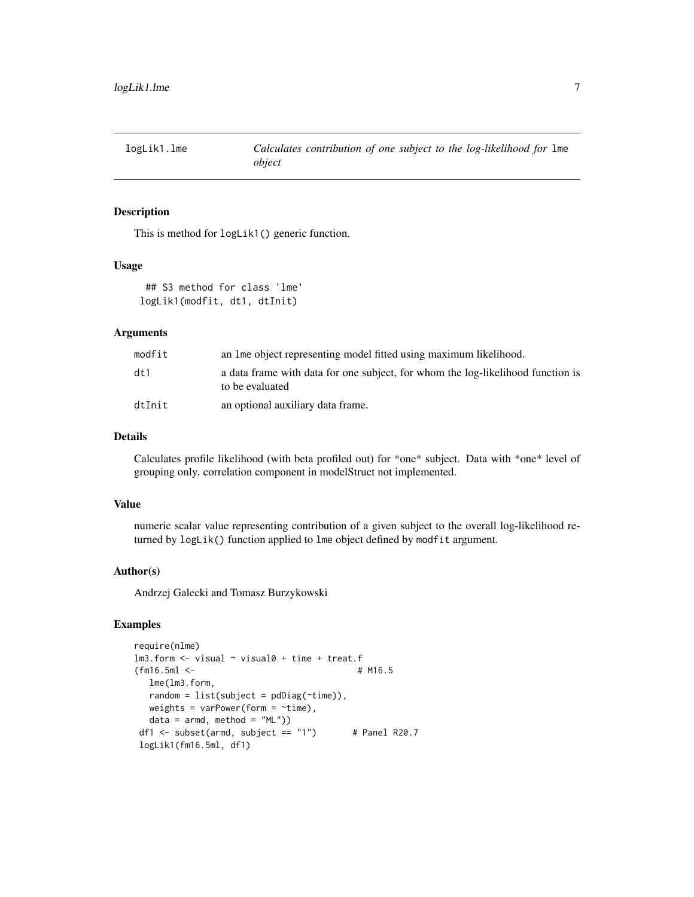<span id="page-6-0"></span>

This is method for logLik1() generic function.

#### Usage

```
## S3 method for class 'lme'
logLik1(modfit, dt1, dtInit)
```
#### Arguments

| modfit | an line object representing model fitted using maximum likelihood.                                 |
|--------|----------------------------------------------------------------------------------------------------|
| dt1    | a data frame with data for one subject, for whom the log-likelihood function is<br>to be evaluated |
| dtInit | an optional auxiliary data frame.                                                                  |

## Details

Calculates profile likelihood (with beta profiled out) for \*one\* subject. Data with \*one\* level of grouping only. correlation component in modelStruct not implemented.

#### Value

numeric scalar value representing contribution of a given subject to the overall log-likelihood returned by logLik() function applied to lme object defined by modfit argument.

#### Author(s)

Andrzej Galecki and Tomasz Burzykowski

#### Examples

```
require(nlme)
lm3.form <- visual ~ visual0 + time + treat.f
(fm16.5ml <- # M16.5
  lme(lm3.form,
  random = list(subject = pdDiag(~time)),
  weights = varPower(form = \simtime),
  data = armd, method = "ML")df1 <- subset(armd, subject == "1") # Panel R20.7
logLik1(fm16.5ml, df1)
```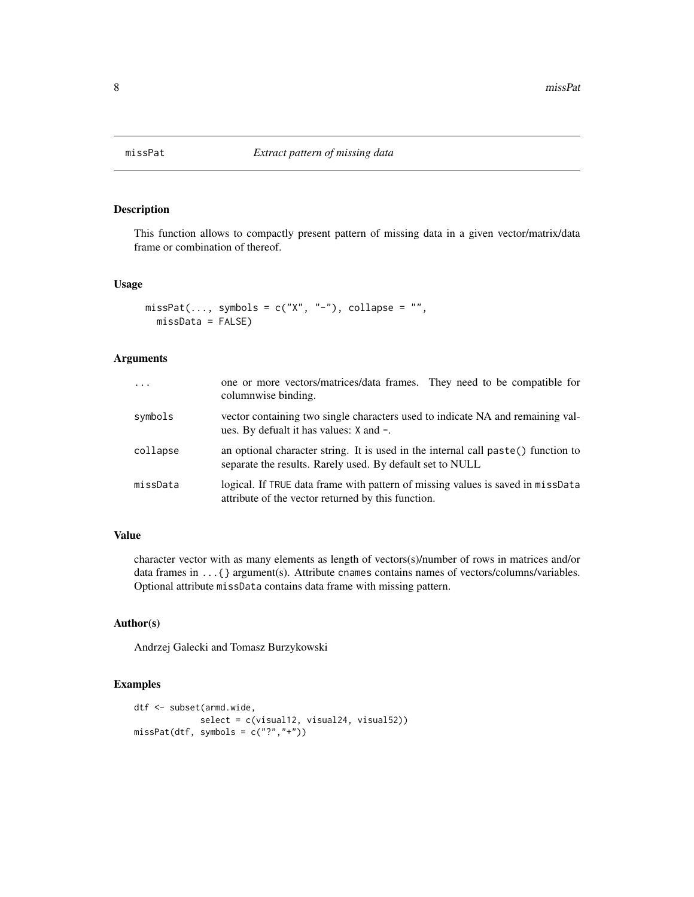<span id="page-7-0"></span>

This function allows to compactly present pattern of missing data in a given vector/matrix/data frame or combination of thereof.

#### Usage

```
missPat(..., symbols = c("X", "-"), collapse = "",missData = FALSE)
```
#### Arguments

| $\cdot$  | one or more vectors/matrices/data frames. They need to be compatible for<br>columnwise binding.                                                |
|----------|------------------------------------------------------------------------------------------------------------------------------------------------|
| symbols  | vector containing two single characters used to indicate NA and remaining val-<br>ues. By defualt it has values: X and -.                      |
| collapse | an optional character string. It is used in the internal call paste() function to<br>separate the results. Rarely used. By default set to NULL |
| missData | logical. If TRUE data frame with pattern of missing values is saved in missData<br>attribute of the vector returned by this function.          |

# Value

character vector with as many elements as length of vectors(s)/number of rows in matrices and/or data frames in . . . { } argument(s). Attribute cnames contains names of vectors/columns/variables. Optional attribute missData contains data frame with missing pattern.

# Author(s)

Andrzej Galecki and Tomasz Burzykowski

#### Examples

```
dtf <- subset(armd.wide,
            select = c(visual12, visual24, visual52))
missPat(dtf, symbols = c("?","+"))
```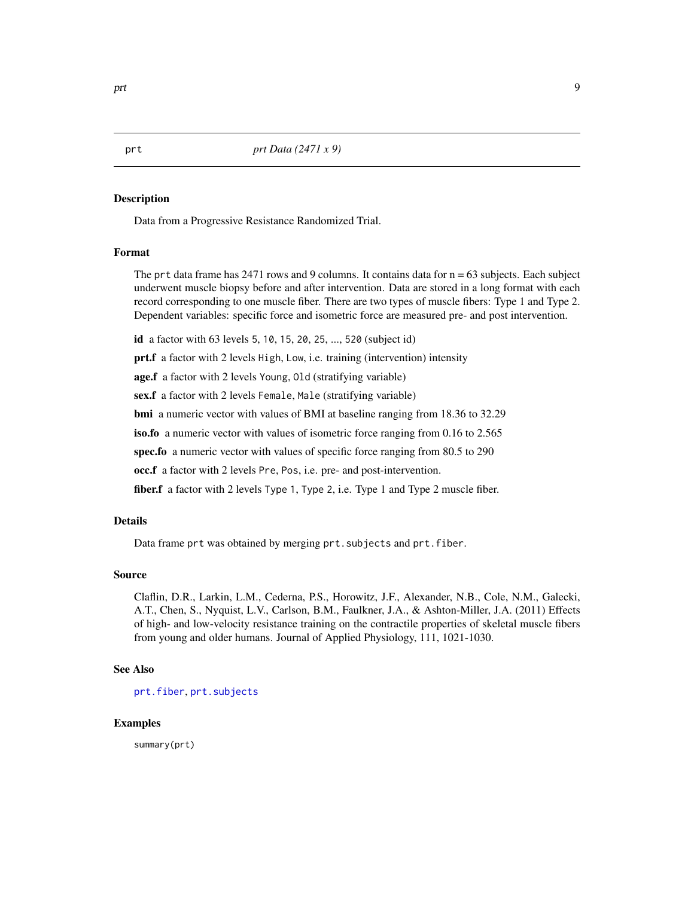<span id="page-8-1"></span><span id="page-8-0"></span>Data from a Progressive Resistance Randomized Trial.

#### Format

The prt data frame has  $2471$  rows and 9 columns. It contains data for  $n = 63$  subjects. Each subject underwent muscle biopsy before and after intervention. Data are stored in a long format with each record corresponding to one muscle fiber. There are two types of muscle fibers: Type 1 and Type 2. Dependent variables: specific force and isometric force are measured pre- and post intervention.

id a factor with 63 levels 5, 10, 15, 20, 25, ..., 520 (subject id)

prt.f a factor with 2 levels High, Low, i.e. training (intervention) intensity

age.f a factor with 2 levels Young, Old (stratifying variable)

sex.f a factor with 2 levels Female, Male (stratifying variable)

bmi a numeric vector with values of BMI at baseline ranging from 18.36 to 32.29

iso.fo a numeric vector with values of isometric force ranging from 0.16 to 2.565

spec.fo a numeric vector with values of specific force ranging from 80.5 to 290

occ.f a factor with 2 levels Pre, Pos, i.e. pre- and post-intervention.

fiber.f a factor with 2 levels Type 1, Type 2, i.e. Type 1 and Type 2 muscle fiber.

#### Details

Data frame prt was obtained by merging prt. subjects and prt. fiber.

#### Source

Claflin, D.R., Larkin, L.M., Cederna, P.S., Horowitz, J.F., Alexander, N.B., Cole, N.M., Galecki, A.T., Chen, S., Nyquist, L.V., Carlson, B.M., Faulkner, J.A., & Ashton-Miller, J.A. (2011) Effects of high- and low-velocity resistance training on the contractile properties of skeletal muscle fibers from young and older humans. Journal of Applied Physiology, 111, 1021-1030.

#### See Also

[prt.fiber](#page-9-1), [prt.subjects](#page-10-1)

#### Examples

summary(prt)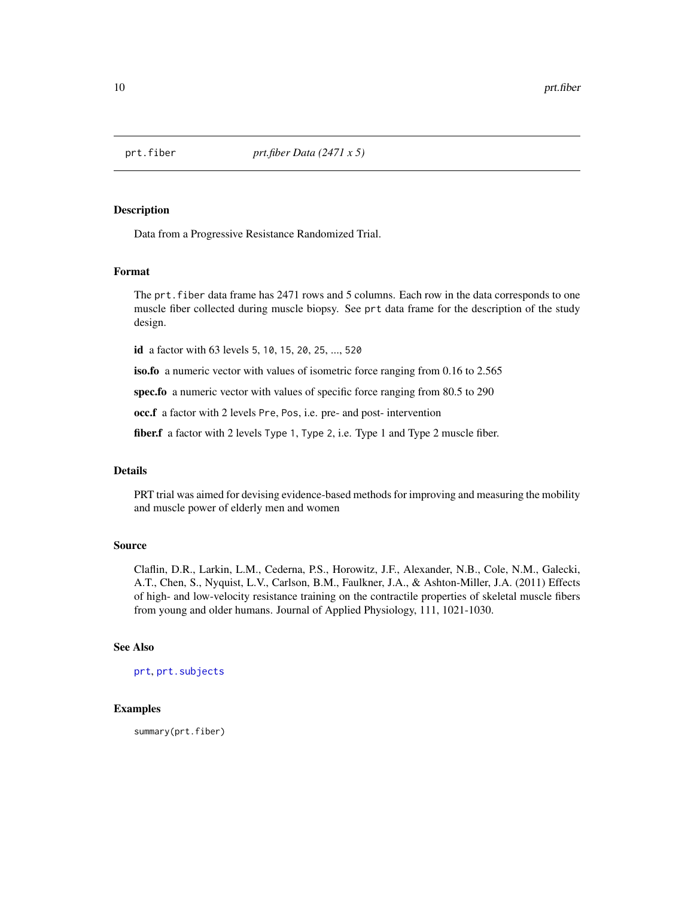<span id="page-9-1"></span><span id="page-9-0"></span>

Data from a Progressive Resistance Randomized Trial.

#### Format

The prt. fiber data frame has 2471 rows and 5 columns. Each row in the data corresponds to one muscle fiber collected during muscle biopsy. See prt data frame for the description of the study design.

id a factor with 63 levels 5, 10, 15, 20, 25, ..., 520

iso.fo a numeric vector with values of isometric force ranging from 0.16 to 2.565

spec.fo a numeric vector with values of specific force ranging from 80.5 to 290

occ.f a factor with 2 levels Pre, Pos, i.e. pre- and post- intervention

fiber.f a factor with 2 levels Type 1, Type 2, i.e. Type 1 and Type 2 muscle fiber.

#### Details

PRT trial was aimed for devising evidence-based methods for improving and measuring the mobility and muscle power of elderly men and women

#### Source

Claflin, D.R., Larkin, L.M., Cederna, P.S., Horowitz, J.F., Alexander, N.B., Cole, N.M., Galecki, A.T., Chen, S., Nyquist, L.V., Carlson, B.M., Faulkner, J.A., & Ashton-Miller, J.A. (2011) Effects of high- and low-velocity resistance training on the contractile properties of skeletal muscle fibers from young and older humans. Journal of Applied Physiology, 111, 1021-1030.

#### See Also

[prt](#page-8-1), [prt.subjects](#page-10-1)

#### Examples

summary(prt.fiber)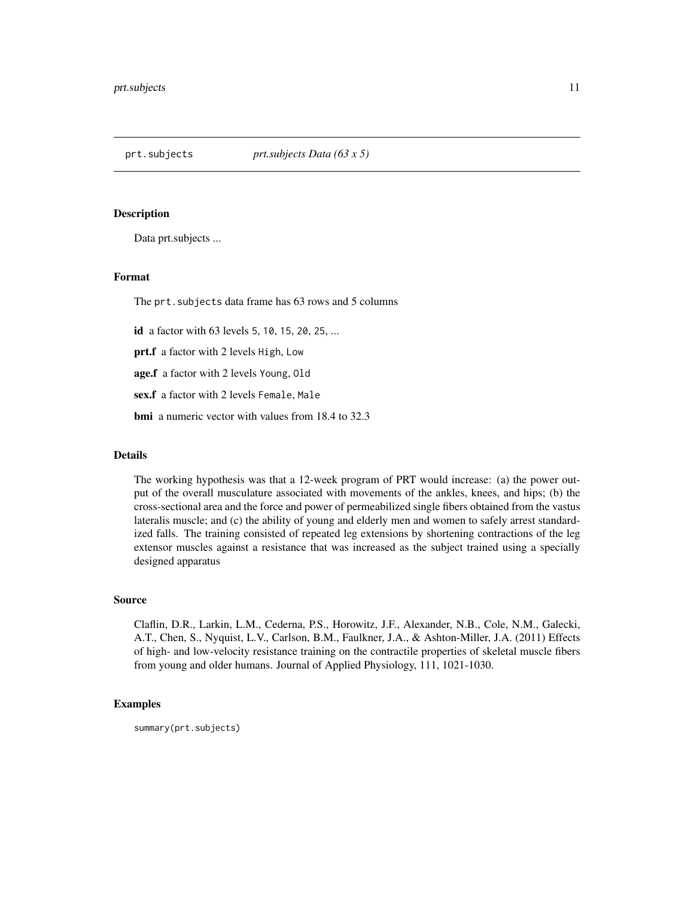<span id="page-10-1"></span><span id="page-10-0"></span>

Data prt.subjects ...

#### Format

The prt.subjects data frame has 63 rows and 5 columns

id a factor with 63 levels 5, 10, 15, 20, 25, ...

prt.f a factor with 2 levels High, Low

age.f a factor with 2 levels Young, Old

sex.f a factor with 2 levels Female, Male

bmi a numeric vector with values from 18.4 to 32.3

#### Details

The working hypothesis was that a 12-week program of PRT would increase: (a) the power output of the overall musculature associated with movements of the ankles, knees, and hips; (b) the cross-sectional area and the force and power of permeabilized single fibers obtained from the vastus lateralis muscle; and (c) the ability of young and elderly men and women to safely arrest standardized falls. The training consisted of repeated leg extensions by shortening contractions of the leg extensor muscles against a resistance that was increased as the subject trained using a specially designed apparatus

#### Source

Claflin, D.R., Larkin, L.M., Cederna, P.S., Horowitz, J.F., Alexander, N.B., Cole, N.M., Galecki, A.T., Chen, S., Nyquist, L.V., Carlson, B.M., Faulkner, J.A., & Ashton-Miller, J.A. (2011) Effects of high- and low-velocity resistance training on the contractile properties of skeletal muscle fibers from young and older humans. Journal of Applied Physiology, 111, 1021-1030.

#### Examples

summary(prt.subjects)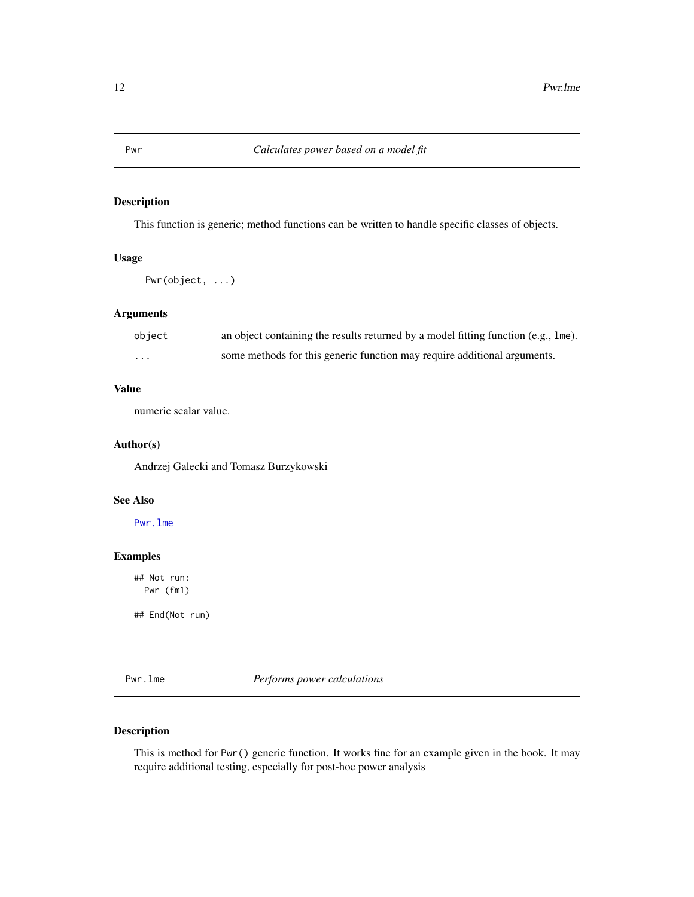This function is generic; method functions can be written to handle specific classes of objects.

# Usage

Pwr(object, ...)

#### Arguments

| object            | an object containing the results returned by a model fitting function (e.g., 1me). |
|-------------------|------------------------------------------------------------------------------------|
| $\cdot\cdot\cdot$ | some methods for this generic function may require additional arguments.           |

## Value

numeric scalar value.

#### Author(s)

Andrzej Galecki and Tomasz Burzykowski

#### See Also

[Pwr.lme](#page-11-1)

# Examples

## Not run: Pwr (fm1)

## End(Not run)

<span id="page-11-1"></span>Pwr.lme *Performs power calculations*

# Description

This is method for Pwr() generic function. It works fine for an example given in the book. It may require additional testing, especially for post-hoc power analysis

<span id="page-11-0"></span>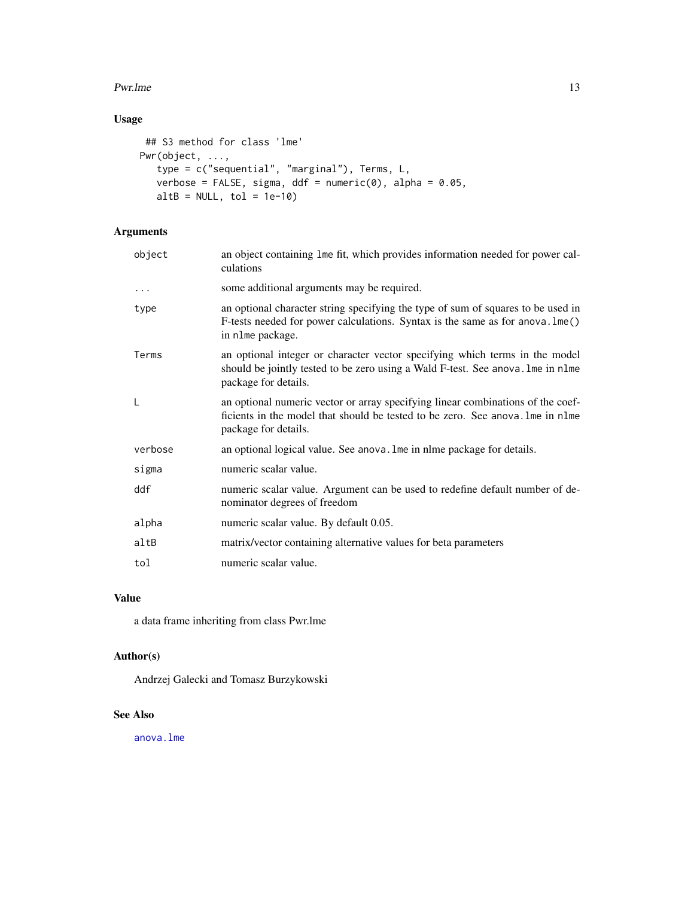#### <span id="page-12-0"></span>Pwr.lme 23

# Usage

```
## S3 method for class 'lme'
Pwr(object, ...,
   type = c("sequential", "marginal"), Terms, L,
   verbose = FALSE, sigma, ddf = numeric(0), alpha = 0.05,
   altB = NULL, tol = 1e-10
```
# Arguments

| object   | an object containing lme fit, which provides information needed for power cal-<br>culations                                                                                               |
|----------|-------------------------------------------------------------------------------------------------------------------------------------------------------------------------------------------|
| $\cdots$ | some additional arguments may be required.                                                                                                                                                |
| type     | an optional character string specifying the type of sum of squares to be used in<br>F-tests needed for power calculations. Syntax is the same as for anova. lme()<br>in nlme package.     |
| Terms    | an optional integer or character vector specifying which terms in the model<br>should be jointly tested to be zero using a Wald F-test. See anova. Ime in nlme<br>package for details.    |
| L        | an optional numeric vector or array specifying linear combinations of the coef-<br>ficients in the model that should be tested to be zero. See anova. The in n1me<br>package for details. |
| verbose  | an optional logical value. See anova. Ime in nlme package for details.                                                                                                                    |
| sigma    | numeric scalar value.                                                                                                                                                                     |
| ddf      | numeric scalar value. Argument can be used to redefine default number of de-<br>nominator degrees of freedom                                                                              |
| alpha    | numeric scalar value. By default 0.05.                                                                                                                                                    |
| altB     | matrix/vector containing alternative values for beta parameters                                                                                                                           |
| tol      | numeric scalar value.                                                                                                                                                                     |

# Value

a data frame inheriting from class Pwr.lme

# Author(s)

Andrzej Galecki and Tomasz Burzykowski

#### See Also

[anova.lme](#page-0-0)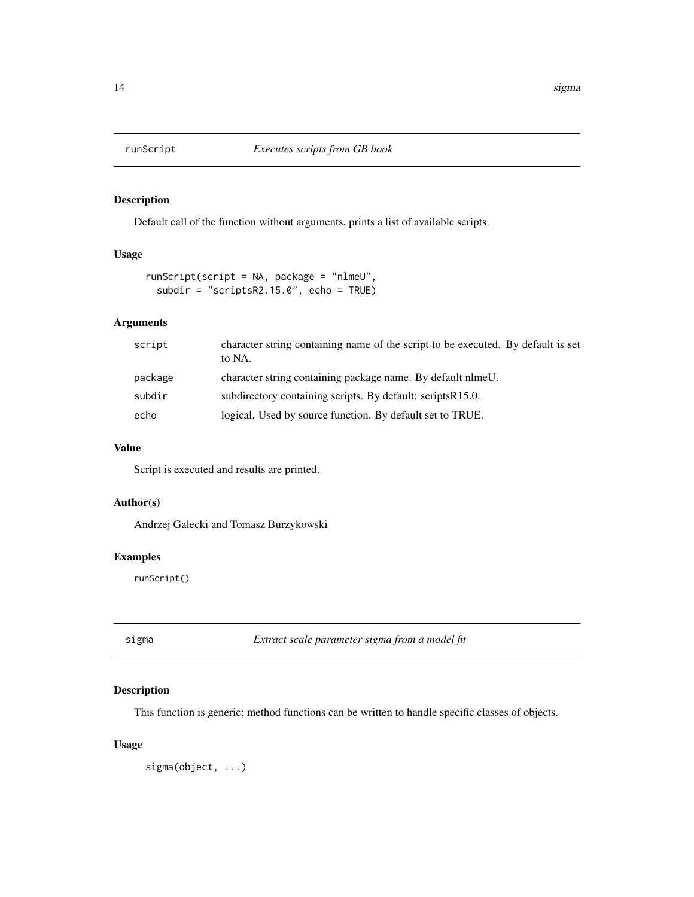<span id="page-13-0"></span>

Default call of the function without arguments, prints a list of available scripts.

# Usage

```
runScript(script = NA, package = "nlmeU",
 subdir = "scriptsR2.15.0", echo = TRUE)
```
# Arguments

| script  | character string containing name of the script to be executed. By default is set<br>to NA. |
|---------|--------------------------------------------------------------------------------------------|
| package | character string containing package name. By default nlmeU.                                |
| subdir  | subdirectory containing scripts. By default: scripts R15.0.                                |
| echo    | logical. Used by source function. By default set to TRUE.                                  |

### Value

Script is executed and results are printed.

#### Author(s)

Andrzej Galecki and Tomasz Burzykowski

#### Examples

runScript()

sigma *Extract scale parameter sigma from a model fit*

# Description

This function is generic; method functions can be written to handle specific classes of objects.

#### Usage

sigma(object, ...)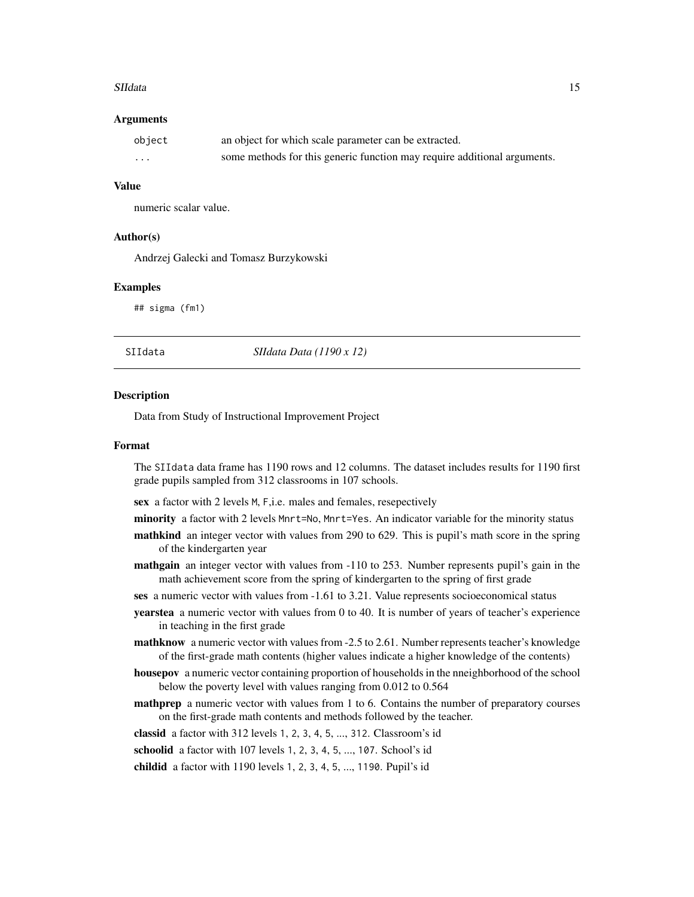#### <span id="page-14-0"></span>SIIdata 15

#### Arguments

| object | an object for which scale parameter can be extracted.                    |
|--------|--------------------------------------------------------------------------|
| .      | some methods for this generic function may require additional arguments. |

#### Value

numeric scalar value.

# Author(s)

Andrzej Galecki and Tomasz Burzykowski

#### Examples

## sigma (fm1)

SIIdata *SIIdata Data (1190 x 12)*

#### **Description**

Data from Study of Instructional Improvement Project

#### Format

The SIIdata data frame has 1190 rows and 12 columns. The dataset includes results for 1190 first grade pupils sampled from 312 classrooms in 107 schools.

sex a factor with 2 levels M, F,i.e. males and females, resepectively

- minority a factor with 2 levels Mnrt=No, Mnrt=Yes. An indicator variable for the minority status
- mathkind an integer vector with values from 290 to 629. This is pupil's math score in the spring of the kindergarten year
- mathgain an integer vector with values from -110 to 253. Number represents pupil's gain in the math achievement score from the spring of kindergarten to the spring of first grade

ses a numeric vector with values from -1.61 to 3.21. Value represents socioeconomical status

- yearstea a numeric vector with values from 0 to 40. It is number of years of teacher's experience in teaching in the first grade
- mathknow a numeric vector with values from -2.5 to 2.61. Number represents teacher's knowledge of the first-grade math contents (higher values indicate a higher knowledge of the contents)
- housepov a numeric vector containing proportion of households in the nneighborhood of the school below the poverty level with values ranging from 0.012 to 0.564
- mathprep a numeric vector with values from 1 to 6. Contains the number of preparatory courses on the first-grade math contents and methods followed by the teacher.

classid a factor with 312 levels 1, 2, 3, 4, 5, ..., 312. Classroom's id

schoolid a factor with 107 levels 1, 2, 3, 4, 5, ..., 107. School's id

childid a factor with 1190 levels 1, 2, 3, 4, 5, ..., 1190. Pupil's id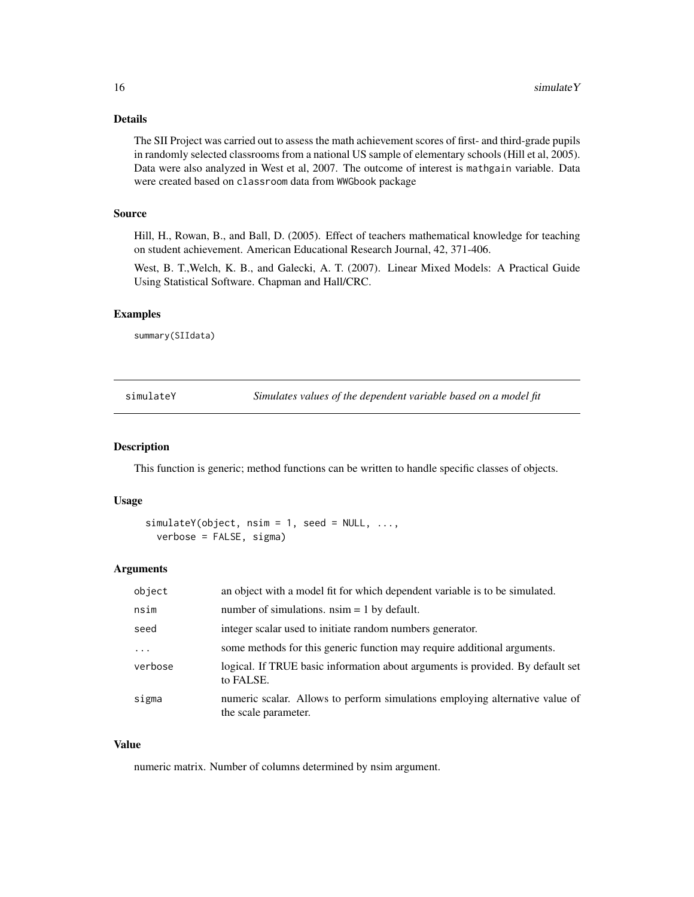### <span id="page-15-0"></span>Details

The SII Project was carried out to assess the math achievement scores of first- and third-grade pupils in randomly selected classrooms from a national US sample of elementary schools (Hill et al, 2005). Data were also analyzed in West et al, 2007. The outcome of interest is mathgain variable. Data were created based on classroom data from WWGbook package

#### Source

Hill, H., Rowan, B., and Ball, D. (2005). Effect of teachers mathematical knowledge for teaching on student achievement. American Educational Research Journal, 42, 371-406.

West, B. T.,Welch, K. B., and Galecki, A. T. (2007). Linear Mixed Models: A Practical Guide Using Statistical Software. Chapman and Hall/CRC.

#### Examples

summary(SIIdata)

simulateY *Simulates values of the dependent variable based on a model fit*

#### Description

This function is generic; method functions can be written to handle specific classes of objects.

#### Usage

```
simulateY(object, nsim = 1, seed = NULL, ...,verbose = FALSE, sigma)
```
#### Arguments

| object  | an object with a model fit for which dependent variable is to be simulated.                          |
|---------|------------------------------------------------------------------------------------------------------|
| nsim    | number of simulations, $nsim = 1$ by default.                                                        |
| seed    | integer scalar used to initiate random numbers generator.                                            |
| .       | some methods for this generic function may require additional arguments.                             |
| verbose | logical. If TRUE basic information about arguments is provided. By default set<br>to FALSE.          |
| sigma   | numeric scalar. Allows to perform simulations employing alternative value of<br>the scale parameter. |

#### Value

numeric matrix. Number of columns determined by nsim argument.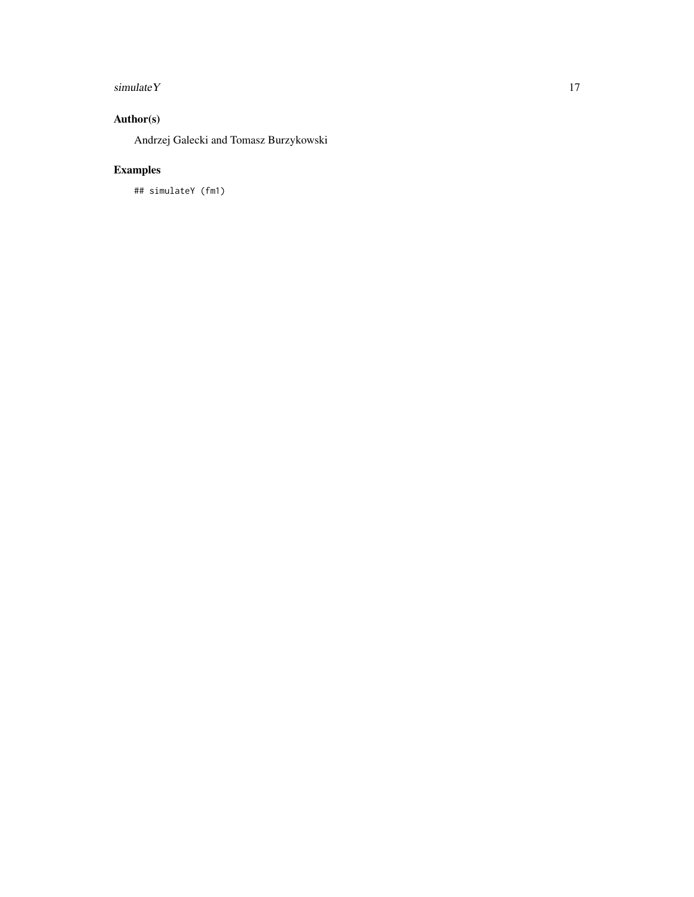# simulate Y 17

# Author(s)

Andrzej Galecki and Tomasz Burzykowski

# Examples

## simulateY (fm1)